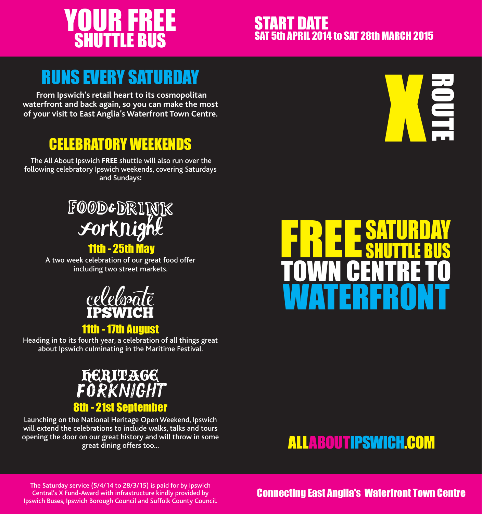# YOUR FREE SHUTTLE BUS

### START DATE **5th APRIL 2014 to SAT 28th MARCH 2015**

# RUNS EVERY SATURDAY

 **From Ipswich's retail heart to its cosmopolitan waterfront and back again, so you can make the most of your visit to East Anglia's Waterfront Town Centre.**

## CELEBRATORY WEEKENDS

 The All About Ipswich FREE shuttle will also run over the following celebratory Ipswich weekends, covering Saturdays and Sundays:



### 11th - 25th May

A two week celebration of our great food offer including two street markets.



### 11th - 17th August

Heading in to its fourth year, a celebration of all things great about Ipswich culminating in the Maritime Festival.



Launching on the National Heritage Open Weekend, Ipswich will extend the celebrations to include walks, talks and tours opening the door on our great history and will throw in some great dining offers too...





## **ALLABOUTIPSWICH.COM**

The Saturday service (5/4/14 to 28/3/15) is paid for by Ipswich Central's X Fund-Award with infrastructure kindly provided by Ipswich Buses, Ipswich Borough Council and Suffolk County Council.

Connecting East Anglia's Waterfront Town Centre